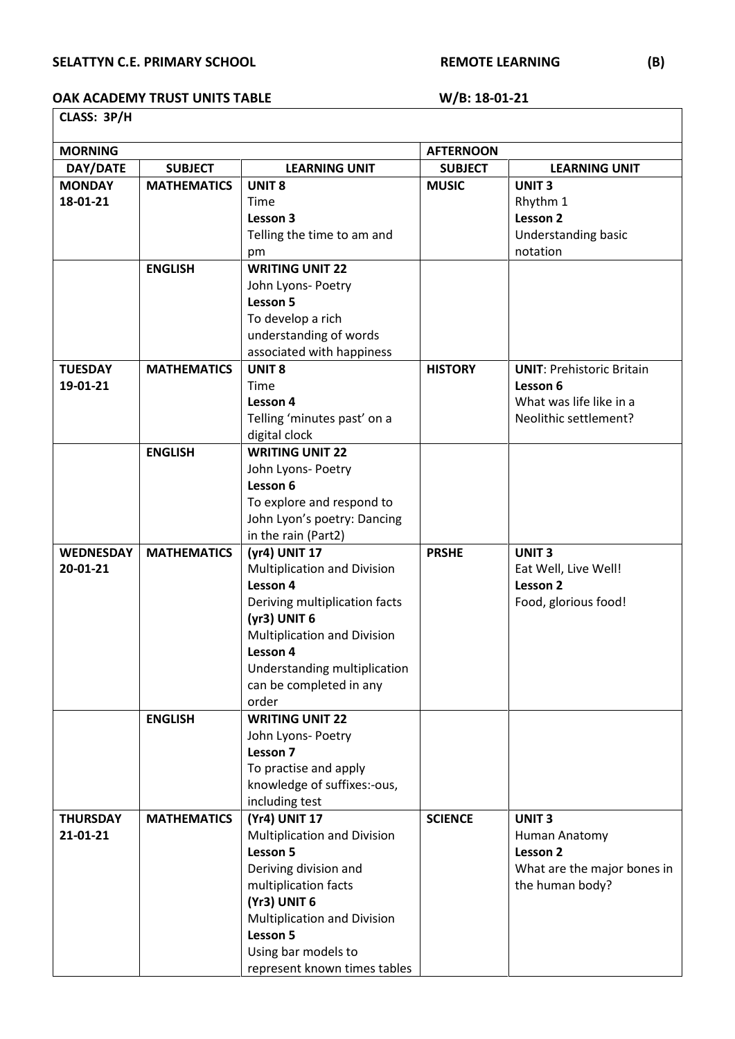## SELATTYN C.E. PRIMARY SCHOOL **REMOTE LEARNING** (B)

## OAK ACADEMY TRUST UNITS TABLE W/B: 18-01-21 **CLASS: 3P/H**

| <b>MORNING</b>   |                    |                                    | <b>AFTERNOON</b> |                                  |  |  |  |
|------------------|--------------------|------------------------------------|------------------|----------------------------------|--|--|--|
| DAY/DATE         | <b>SUBJECT</b>     | <b>LEARNING UNIT</b>               | <b>SUBJECT</b>   | <b>LEARNING UNIT</b>             |  |  |  |
| <b>MONDAY</b>    | <b>MATHEMATICS</b> | <b>UNIT 8</b>                      | <b>MUSIC</b>     | <b>UNIT3</b>                     |  |  |  |
| 18-01-21         |                    | Time                               |                  | Rhythm 1                         |  |  |  |
|                  |                    | Lesson 3                           |                  | Lesson 2                         |  |  |  |
|                  |                    | Telling the time to am and         |                  | Understanding basic              |  |  |  |
|                  |                    | pm                                 |                  | notation                         |  |  |  |
|                  | <b>ENGLISH</b>     | <b>WRITING UNIT 22</b>             |                  |                                  |  |  |  |
|                  |                    | John Lyons- Poetry                 |                  |                                  |  |  |  |
|                  |                    | Lesson 5                           |                  |                                  |  |  |  |
|                  |                    | To develop a rich                  |                  |                                  |  |  |  |
|                  |                    | understanding of words             |                  |                                  |  |  |  |
|                  |                    | associated with happiness          |                  |                                  |  |  |  |
| <b>TUESDAY</b>   | <b>MATHEMATICS</b> | <b>UNIT 8</b>                      | <b>HISTORY</b>   | <b>UNIT: Prehistoric Britain</b> |  |  |  |
| 19-01-21         |                    | Time                               |                  | Lesson 6                         |  |  |  |
|                  |                    | Lesson 4                           |                  | What was life like in a          |  |  |  |
|                  |                    | Telling 'minutes past' on a        |                  | Neolithic settlement?            |  |  |  |
|                  |                    | digital clock                      |                  |                                  |  |  |  |
|                  | <b>ENGLISH</b>     | <b>WRITING UNIT 22</b>             |                  |                                  |  |  |  |
|                  |                    | John Lyons- Poetry                 |                  |                                  |  |  |  |
|                  |                    | Lesson 6                           |                  |                                  |  |  |  |
|                  |                    | To explore and respond to          |                  |                                  |  |  |  |
|                  |                    | John Lyon's poetry: Dancing        |                  |                                  |  |  |  |
|                  |                    | in the rain (Part2)                |                  |                                  |  |  |  |
| <b>WEDNESDAY</b> | <b>MATHEMATICS</b> | (yr4) UNIT 17                      | <b>PRSHE</b>     | <b>UNIT3</b>                     |  |  |  |
| 20-01-21         |                    | <b>Multiplication and Division</b> |                  | Eat Well, Live Well!             |  |  |  |
|                  |                    | Lesson 4                           |                  | Lesson 2                         |  |  |  |
|                  |                    | Deriving multiplication facts      |                  | Food, glorious food!             |  |  |  |
|                  |                    | (yr3) UNIT 6                       |                  |                                  |  |  |  |
|                  |                    | <b>Multiplication and Division</b> |                  |                                  |  |  |  |
|                  |                    | Lesson 4                           |                  |                                  |  |  |  |
|                  |                    | Understanding multiplication       |                  |                                  |  |  |  |
|                  |                    | can be completed in any            |                  |                                  |  |  |  |
|                  |                    | order                              |                  |                                  |  |  |  |
|                  | <b>ENGLISH</b>     | <b>WRITING UNIT 22</b>             |                  |                                  |  |  |  |
|                  |                    | John Lyons- Poetry                 |                  |                                  |  |  |  |
|                  |                    | Lesson 7                           |                  |                                  |  |  |  |
|                  |                    | To practise and apply              |                  |                                  |  |  |  |
|                  |                    | knowledge of suffixes:-ous,        |                  |                                  |  |  |  |
|                  |                    | including test                     |                  |                                  |  |  |  |
| <b>THURSDAY</b>  | <b>MATHEMATICS</b> | (Yr4) UNIT 17                      | <b>SCIENCE</b>   | <b>UNIT3</b>                     |  |  |  |
| 21-01-21         |                    | <b>Multiplication and Division</b> |                  | Human Anatomy                    |  |  |  |
|                  |                    | Lesson 5                           |                  | Lesson 2                         |  |  |  |
|                  |                    | Deriving division and              |                  | What are the major bones in      |  |  |  |
|                  |                    | multiplication facts               |                  | the human body?                  |  |  |  |
|                  |                    | (Yr3) UNIT 6                       |                  |                                  |  |  |  |
|                  |                    | Multiplication and Division        |                  |                                  |  |  |  |
|                  |                    | Lesson 5                           |                  |                                  |  |  |  |
|                  |                    | Using bar models to                |                  |                                  |  |  |  |
|                  |                    | represent known times tables       |                  |                                  |  |  |  |